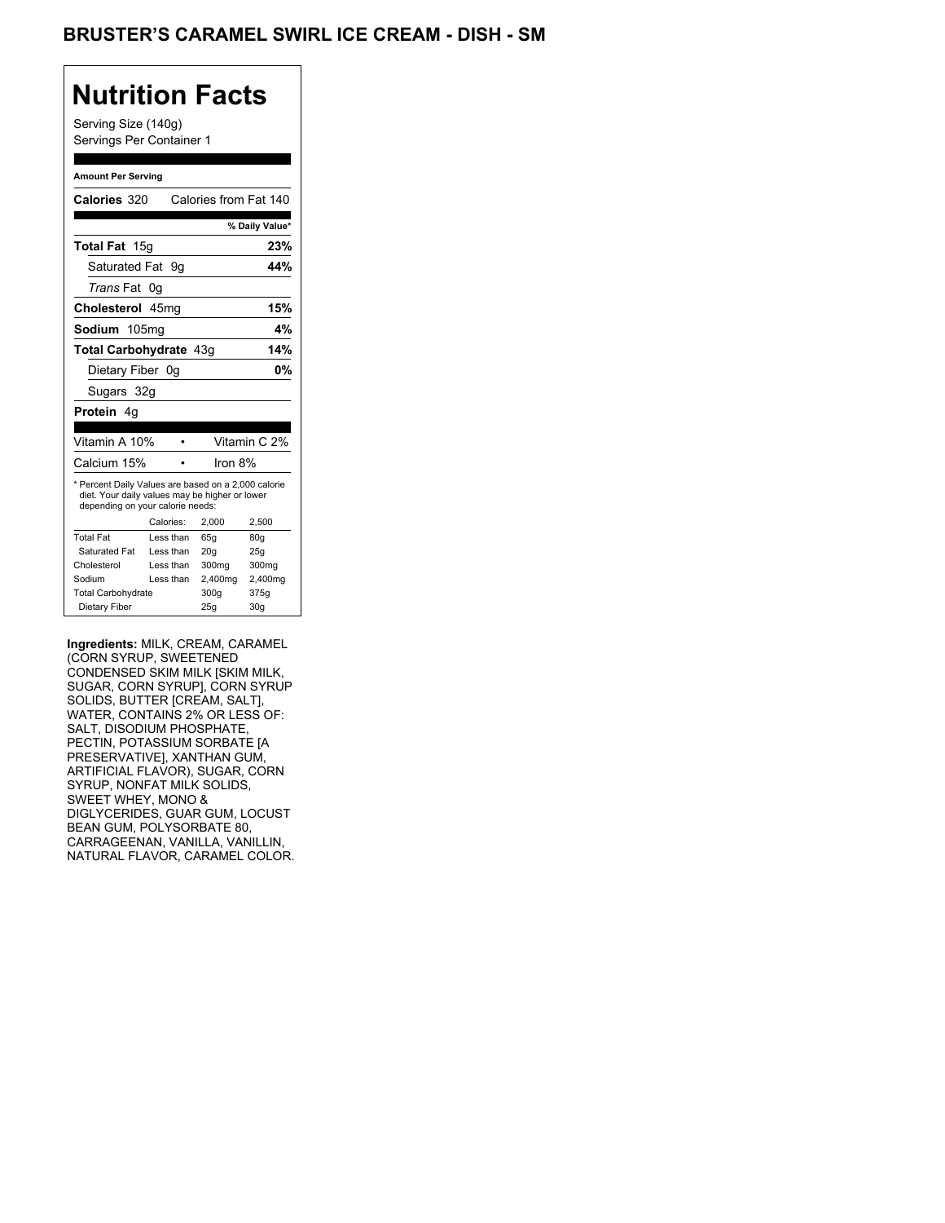## BRUSTER'S CARAMEL SWIRL ICE CREAM - DISH - SM

## **Nutrition Facts**

Serving Size (140g) Servings Per Container 1

#### **Amount Per Serving**

| Calories 320                                                                                                                              |    |           | Calories from Fat 140 |                 |
|-------------------------------------------------------------------------------------------------------------------------------------------|----|-----------|-----------------------|-----------------|
|                                                                                                                                           |    |           |                       | % Daily Value*  |
| Total Fat 15g                                                                                                                             |    |           |                       | 23%             |
| Saturated Fat 9q                                                                                                                          |    |           |                       | 44%             |
| <i>Trans</i> Fat                                                                                                                          | 0g |           |                       |                 |
| Cholesterol 45mg                                                                                                                          |    |           |                       | 15%             |
| Sodium 105mg                                                                                                                              |    |           |                       | 4%              |
| Total Carbohydrate 43g<br>14%                                                                                                             |    |           |                       |                 |
| Dietary Fiber 0q                                                                                                                          |    |           |                       | 0%              |
| Sugars 32g                                                                                                                                |    |           |                       |                 |
| <b>Protein</b> 4a                                                                                                                         |    |           |                       |                 |
|                                                                                                                                           |    |           |                       |                 |
| Vitamin A 10%                                                                                                                             |    |           |                       | Vitamin C 2%    |
| Calcium 15%                                                                                                                               |    |           | Iron $8\%$            |                 |
| * Percent Daily Values are based on a 2,000 calorie<br>diet. Your daily values may be higher or lower<br>depending on your calorie needs: |    |           |                       |                 |
|                                                                                                                                           |    | Calories: | 2.000                 | 2.500           |
| <b>Total Fat</b>                                                                                                                          |    | Less than | 65q                   | 80q             |
| Saturated Fat                                                                                                                             |    | Less than | 20q                   | 25q             |
| Cholesterol                                                                                                                               |    | Less than | 300mg                 | 300mg           |
| Sodium                                                                                                                                    |    | Less than | 2,400mg               | 2,400mg         |
| <b>Total Carbohydrate</b>                                                                                                                 |    |           | 300q                  | 375g            |
| Dietary Fiber                                                                                                                             |    |           | 25q                   | 30 <sub>g</sub> |

**Ingredients:** MILK, CREAM, CARAMEL (CORN SYRUP, SWEETENED CONDENSED SKIM MILK [SKIM MILK, SUGAR, CORN SYRUP], CORN SYRUP SOLIDS, BUTTER [CREAM, SALT], WATER, CONTAINS 2% OR LESS OF: SALT, DISODIUM PHOSPHATE, PECTIN, POTASSIUM SORBATE [A PRESERVATIVE], XANTHAN GUM, ARTIFICIAL FLAVOR), SUGAR, CORN SYRUP, NONFAT MILK SOLIDS, SWEET WHEY, MONO & DIGLYCERIDES, GUAR GUM, LOCUST BEAN GUM, POLYSORBATE 80, CARRAGEENAN, VANILLA, VANILLIN, NATURAL FLAVOR, CARAMEL COLOR.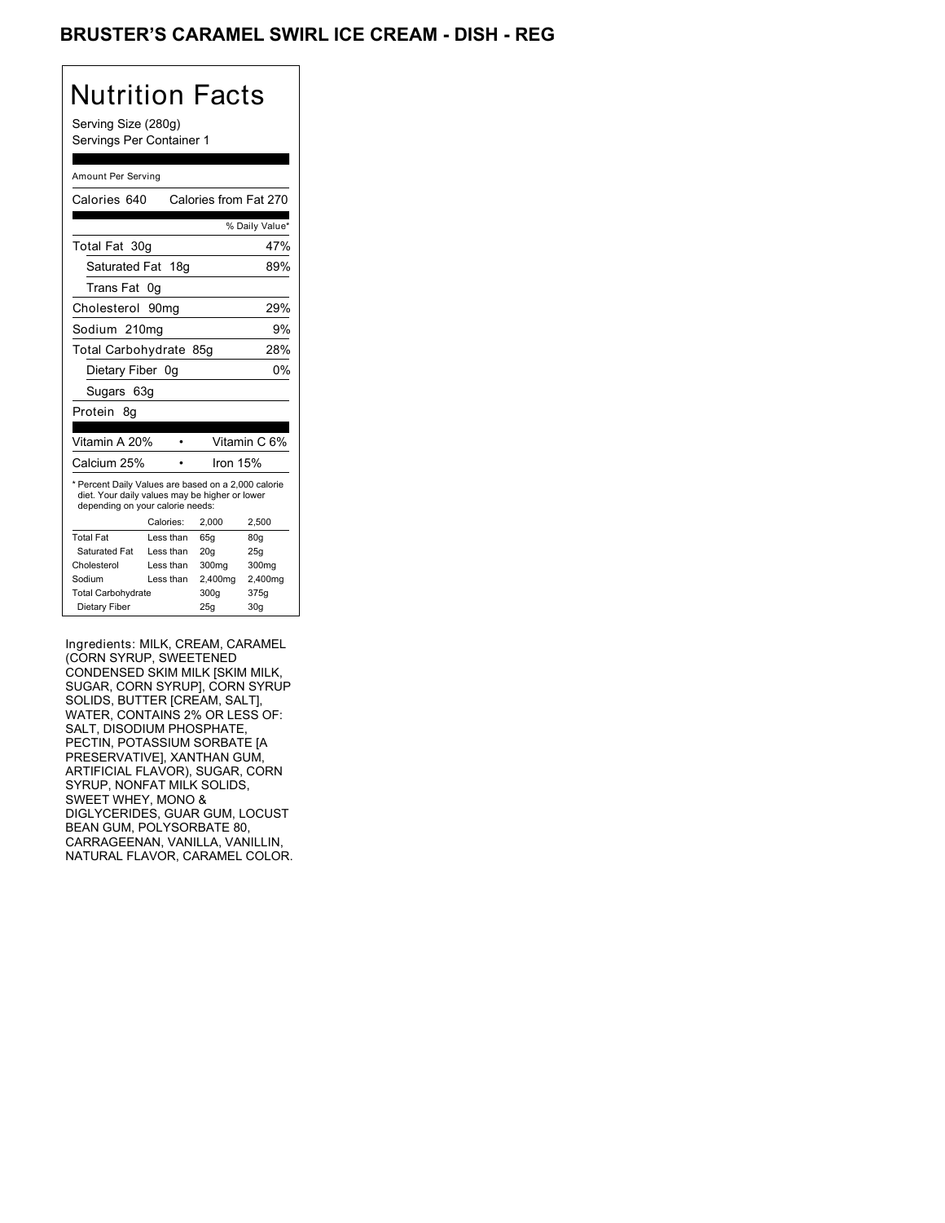## BRUSTER'S CARAMEL SWIRL ICE CREAM - DISH - REG

| Nutrition Facts<br>Serving Size (280g)<br>Servings Per Container 1                                                                        |                  |                       |                 |
|-------------------------------------------------------------------------------------------------------------------------------------------|------------------|-----------------------|-----------------|
|                                                                                                                                           |                  |                       |                 |
| Amount Per Serving                                                                                                                        |                  |                       |                 |
| Calories 640                                                                                                                              |                  | Calories from Fat 270 |                 |
|                                                                                                                                           |                  |                       | % Daily Value*  |
| Total Fat 30g                                                                                                                             |                  |                       | 47%             |
| Saturated Fat                                                                                                                             | 18q              |                       | 89%             |
| <b>Trans Fat</b>                                                                                                                          | 0g               |                       |                 |
| Cholesterol                                                                                                                               |                  |                       | 29%             |
|                                                                                                                                           | 90 <sub>mg</sub> |                       |                 |
| Sodium 210mg                                                                                                                              |                  |                       | 9%              |
| Total Carbohydrate 85g<br>28%                                                                                                             |                  |                       |                 |
| 0%<br>Dietary Fiber 0g                                                                                                                    |                  |                       |                 |
| Sugars 63g                                                                                                                                |                  |                       |                 |
| Protein<br>8g                                                                                                                             |                  |                       |                 |
|                                                                                                                                           |                  |                       |                 |
| Vitamin A 20%                                                                                                                             | ä                |                       | Vitamin C 6%    |
| Calcium 25%                                                                                                                               |                  | Iron 15%              |                 |
| * Percent Daily Values are based on a 2,000 calorie<br>diet. Your daily values may be higher or lower<br>depending on your calorie needs: |                  |                       |                 |
|                                                                                                                                           | Calories:        | 2,000                 | 2,500           |
| <b>Total Fat</b>                                                                                                                          | Less than        | 65q                   | 80q             |
| <b>Saturated Fat</b>                                                                                                                      | Less than        | 20g                   | 25g             |
| Cholesterol                                                                                                                               | Less than        | 300mg                 | 300mg           |
| Sodium                                                                                                                                    | Less than        | 2,400mg               | 2,400mg         |
| <b>Total Carbohydrate</b>                                                                                                                 |                  | 300q                  | 375g            |
| Dietary Fiber                                                                                                                             |                  | 25g                   | 30 <sub>g</sub> |

Ingredients: MILK, CREAM, CARAMEL (CORN SYRUP, SWEETENED CONDENSED SKIM MILK [SKIM MILK, SUGAR, CORN SYRUP], CORN SYRUP SOLIDS, BUTTER [CREAM, SALT], WATER, CONTAINS 2% OR LESS OF: SALT, DISODIUM PHOSPHATE, PECTIN, POTASSIUM SORBATE [A PRESERVATIVE], XANTHAN GUM, ARTIFICIAL FLAVOR), SUGAR, CORN SYRUP, NONFAT MILK SOLIDS, SWEET WHEY, MONO & DIGLYCERIDES, GUAR GUM, LOCUST BEAN GUM, POLYSORBATE 80, CARRAGEENAN, VANILLA, VANILLIN, NATURAL FLAVOR, CARAMEL COLOR.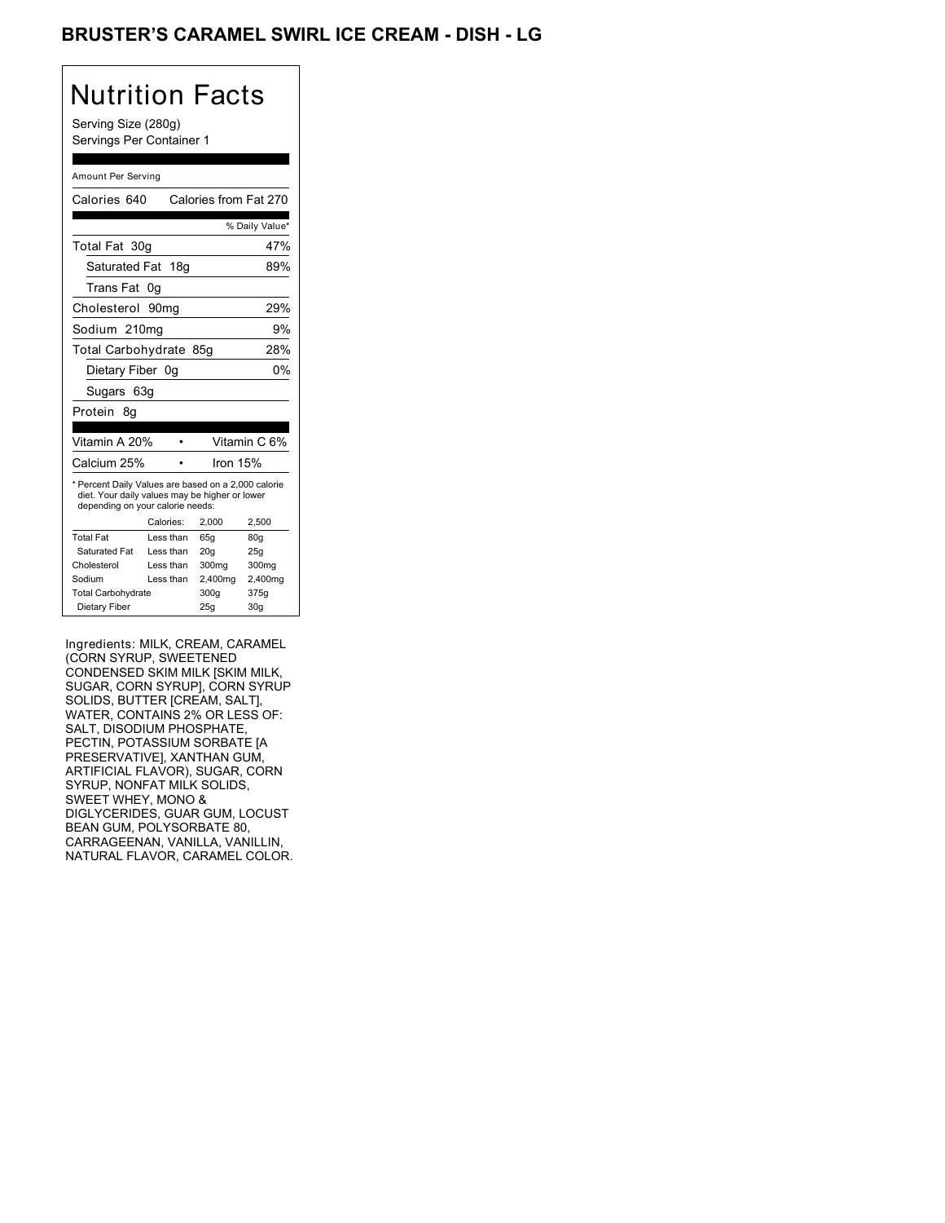## BRUSTER'S CARAMEL SWIRL ICE CREAM - DISH - LG

| Nutrition Facts<br>Serving Size (280g)<br>Servings Per Container 1                                                                        |                  |            |                       |                 |
|-------------------------------------------------------------------------------------------------------------------------------------------|------------------|------------|-----------------------|-----------------|
|                                                                                                                                           |                  |            |                       |                 |
| Amount Per Serving                                                                                                                        |                  |            |                       |                 |
| Calories 640                                                                                                                              |                  |            | Calories from Fat 270 |                 |
|                                                                                                                                           |                  |            |                       | % Daily Value*  |
| Total Fat 30g                                                                                                                             |                  |            |                       | 47%             |
| Saturated Fat                                                                                                                             |                  | 18q        |                       | 89%             |
| Trans Fat                                                                                                                                 | 0g               |            |                       |                 |
| Cholesterol                                                                                                                               | 90 <sub>mg</sub> |            |                       | 29%             |
| Sodium 210mg                                                                                                                              |                  |            |                       | 9%              |
| Total Carbohydrate 85g<br>28%                                                                                                             |                  |            |                       |                 |
| Dietary Fiber 0g                                                                                                                          |                  |            |                       | 0%              |
| Sugars 63g                                                                                                                                |                  |            |                       |                 |
| Protein<br>8g                                                                                                                             |                  |            |                       |                 |
|                                                                                                                                           |                  |            |                       |                 |
| Vitamin A 20%                                                                                                                             |                  |            |                       | Vitamin C 6%    |
| Calcium 25%                                                                                                                               |                  |            | Iron 15%              |                 |
| * Percent Daily Values are based on a 2,000 calorie<br>diet. Your daily values may be higher or lower<br>depending on your calorie needs: |                  |            |                       |                 |
|                                                                                                                                           |                  | Calories:  | 2,000                 | 2,500           |
| <b>Total Fat</b>                                                                                                                          |                  | Less than  | 65q                   | 80q             |
| Saturated Fat                                                                                                                             |                  | I ess than | 20 <sub>g</sub>       | 25g             |
| Cholesterol                                                                                                                               |                  | Less than  | 300mg                 | 300mg           |
| Sodium<br>Less than<br>2,400mg                                                                                                            |                  |            | 2,400mg               |                 |
| <b>Total Carbohydrate</b><br>375g<br>300q                                                                                                 |                  |            |                       |                 |
| Dietary Fiber                                                                                                                             |                  |            | 25g                   | 30 <sub>g</sub> |

Ingredients: MILK, CREAM, CARAMEL (CORN SYRUP, SWEETENED CONDENSED SKIM MILK [SKIM MILK, SUGAR, CORN SYRUP], CORN SYRUP SOLIDS, BUTTER [CREAM, SALT], WATER, CONTAINS 2% OR LESS OF: SALT, DISODIUM PHOSPHATE, PECTIN, POTASSIUM SORBATE [A PRESERVATIVE], XANTHAN GUM, ARTIFICIAL FLAVOR), SUGAR, CORN SYRUP, NONFAT MILK SOLIDS, SWEET WHEY, MONO & DIGLYCERIDES, GUAR GUM, LOCUST BEAN GUM, POLYSORBATE 80, CARRAGEENAN, VANILLA, VANILLIN, NATURAL FLAVOR, CARAMEL COLOR.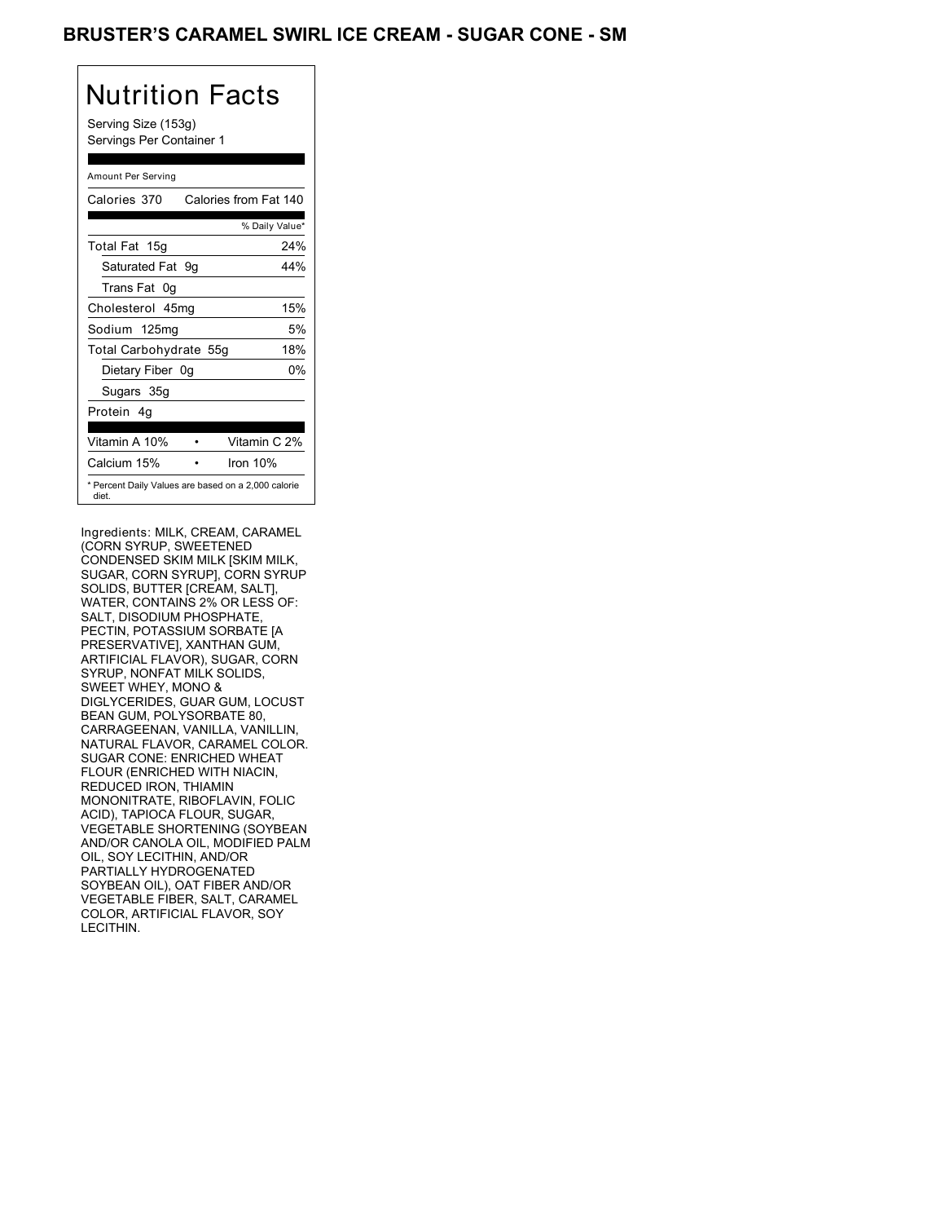### BRUSTER'S CARAMEL SWIRL ICE CREAM - SUGAR CONE - SM

| Nutrition Facts<br>Serving Size (153g)<br>Servings Per Container 1 |  |  |  |
|--------------------------------------------------------------------|--|--|--|
| Amount Per Serving                                                 |  |  |  |
| Calories from Fat 140<br>Calories 370                              |  |  |  |
| % Daily Value*                                                     |  |  |  |
| Total Fat 15g<br>24%                                               |  |  |  |
| Saturated Fat<br>44%<br>9g                                         |  |  |  |
| Trans Fat 0q                                                       |  |  |  |
| Cholesterol 45mg<br>15%                                            |  |  |  |
| 5%<br>Sodium 125mg                                                 |  |  |  |
| Total Carbohydrate 55g<br>18%                                      |  |  |  |
| 0%<br>Dietary Fiber 0g                                             |  |  |  |
| Sugars 35g                                                         |  |  |  |
| Protein 4q                                                         |  |  |  |
|                                                                    |  |  |  |
| Vitamin C 2%<br>Vitamin A 10%                                      |  |  |  |
| Calcium 15%<br>Iron 10%                                            |  |  |  |
| * Percent Daily Values are based on a 2,000 calorie<br>diet.       |  |  |  |

Ingredients: MILK, CREAM, CARAMEL (CORN SYRUP, SWEETENED CONDENSED SKIM MILK [SKIM MILK, SUGAR, CORN SYRUP], CORN SYRUP SOLIDS, BUTTER [CREAM, SALT], WATER, CONTAINS 2% OR LESS OF: SALT, DISODIUM PHOSPHATE, PECTIN, POTASSIUM SORBATE [A PRESERVATIVE], XANTHAN GUM, ARTIFICIAL FLAVOR), SUGAR, CORN SYRUP, NONFAT MILK SOLIDS, SWEET WHEY, MONO & DIGLYCERIDES, GUAR GUM, LOCUST BEAN GUM, POLYSORBATE 80, CARRAGEENAN, VANILLA, VANILLIN, NATURAL FLAVOR, CARAMEL COLOR. SUGAR CONE: ENRICHED WHEAT FLOUR (ENRICHED WITH NIACIN, REDUCED IRON, THIAMIN MONONITRATE, RIBOFLAVIN, FOLIC ACID), TAPIOCA FLOUR, SUGAR, VEGETABLE SHORTENING (SOYBEAN AND/OR CANOLA OIL, MODIFIED PALM OIL, SOY LECITHIN, AND/OR PARTIALLY HYDROGENATED SOYBEAN OIL), OAT FIBER AND/OR VEGETABLE FIBER, SALT, CARAMEL COLOR, ARTIFICIAL FLAVOR, SOY LECITHIN.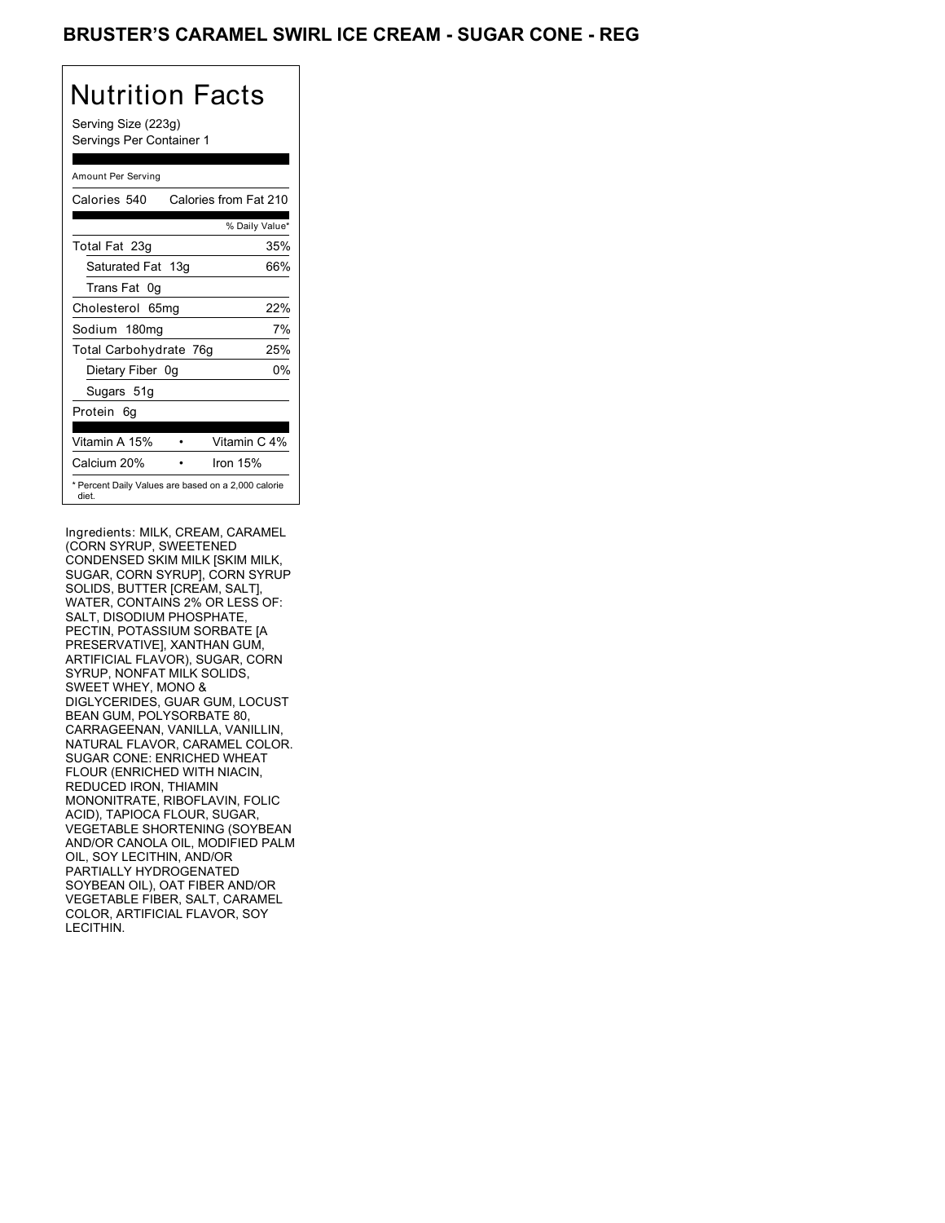### BRUSTER'S CARAMEL SWIRL ICE CREAM - SUGAR CONE - REG

# Nutrition Facts

Serving Size (223g) Servings Per Container 1

### Amount Per Serving

| Calories 540           | Calories from Fat 210                               |
|------------------------|-----------------------------------------------------|
|                        | % Daily Value*                                      |
| Total Fat 23g          | 35%                                                 |
| Saturated Fat 13g      | 66%                                                 |
| Trans Fat 0q           |                                                     |
| Cholesterol 65mg       | 22%                                                 |
| Sodium 180mg           | 7%                                                  |
| Total Carbohydrate 76g | 25%                                                 |
| Dietary Fiber 0g       | 0%                                                  |
| Sugars 51g             |                                                     |
| Protein 6g             |                                                     |
|                        |                                                     |
| Vitamin A 15%          | Vitamin C 4%                                        |
| Calcium 20%            | Iron 15%                                            |
| diet.                  | * Percent Daily Values are based on a 2,000 calorie |

Ingredients: MILK, CREAM, CARAMEL (CORN SYRUP, SWEETENED CONDENSED SKIM MILK [SKIM MILK, SUGAR, CORN SYRUP], CORN SYRUP SOLIDS, BUTTER [CREAM, SALT], WATER, CONTAINS 2% OR LESS OF: SALT, DISODIUM PHOSPHATE, PECTIN, POTASSIUM SORBATE [A PRESERVATIVE], XANTHAN GUM, ARTIFICIAL FLAVOR), SUGAR, CORN SYRUP, NONFAT MILK SOLIDS, SWEET WHEY, MONO & DIGLYCERIDES, GUAR GUM, LOCUST BEAN GUM, POLYSORBATE 80, CARRAGEENAN, VANILLA, VANILLIN, NATURAL FLAVOR, CARAMEL COLOR. SUGAR CONE: ENRICHED WHEAT FLOUR (ENRICHED WITH NIACIN, REDUCED IRON, THIAMIN MONONITRATE, RIBOFLAVIN, FOLIC ACID), TAPIOCA FLOUR, SUGAR, VEGETABLE SHORTENING (SOYBEAN AND/OR CANOLA OIL, MODIFIED PALM OIL, SOY LECITHIN, AND/OR PARTIALLY HYDROGENATED SOYBEAN OIL), OAT FIBER AND/OR VEGETABLE FIBER, SALT, CARAMEL COLOR, ARTIFICIAL FLAVOR, SOY LECITHIN.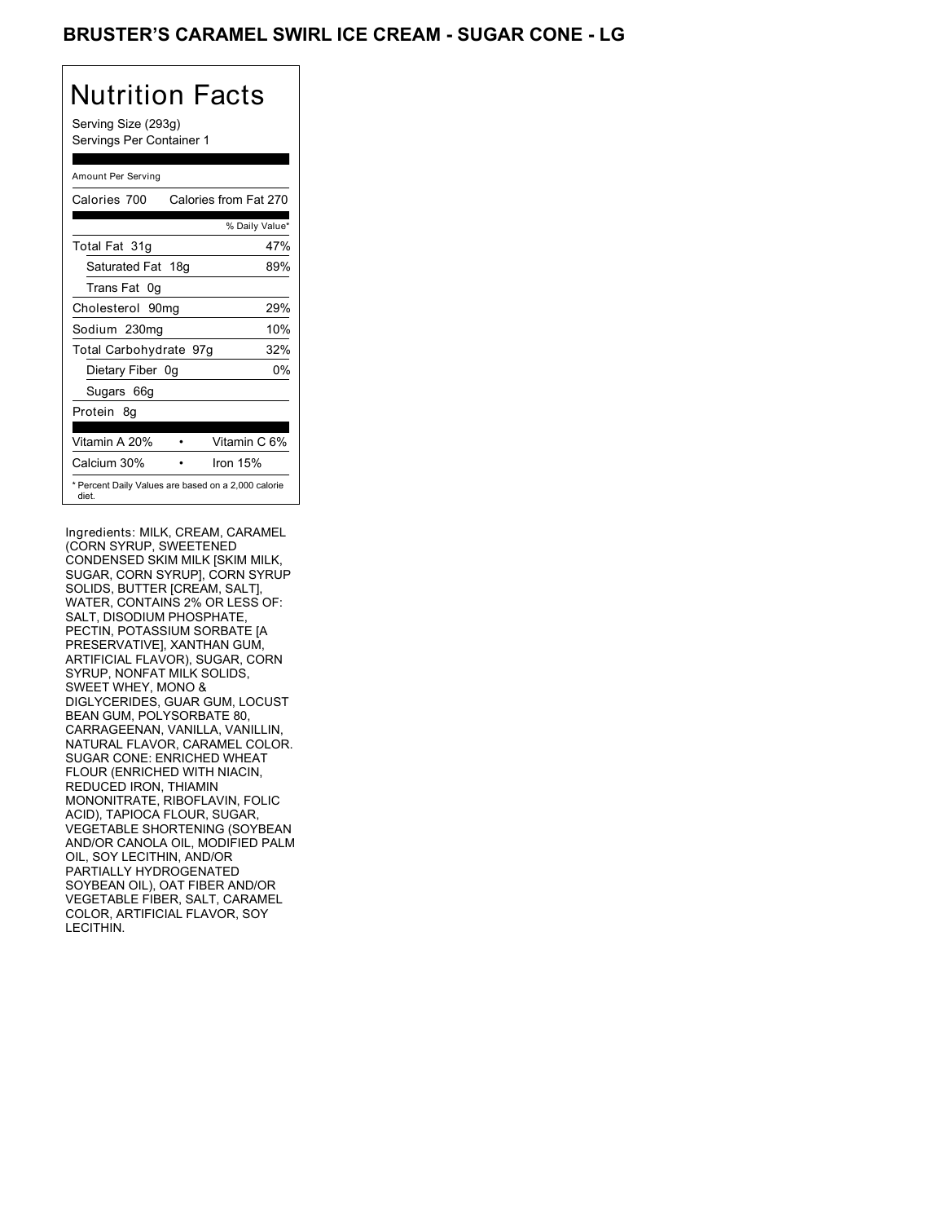## BRUSTER'S CARAMEL SWIRL ICE CREAM - SUGAR CONE - LG

# Nutrition Facts

Serving Size (293g) Servings Per Container 1

| Amount Per Serving                                           |                       |
|--------------------------------------------------------------|-----------------------|
| Calories 700                                                 | Calories from Fat 270 |
|                                                              | % Daily Value*        |
| Total Fat 31g                                                | 47%                   |
| Saturated Fat 18g                                            | 89%                   |
| Trans Fat 0q                                                 |                       |
| Cholesterol 90mg                                             | 29%                   |
| Sodium 230mg                                                 | 10%                   |
| Total Carbohydrate 97g                                       | 32%                   |
| Dietary Fiber 0g                                             | 0%                    |
| Sugars 66g                                                   |                       |
| Protein 8q                                                   |                       |
|                                                              |                       |
| Vitamin A 20%                                                | Vitamin C 6%          |
| Calcium 30%                                                  | Iron 15%              |
| * Percent Daily Values are based on a 2,000 calorie<br>diet. |                       |

Ingredients: MILK, CREAM, CARAMEL (CORN SYRUP, SWEETENED CONDENSED SKIM MILK [SKIM MILK, SUGAR, CORN SYRUP], CORN SYRUP SOLIDS, BUTTER [CREAM, SALT], WATER, CONTAINS 2% OR LESS OF: SALT, DISODIUM PHOSPHATE, PECTIN, POTASSIUM SORBATE [A PRESERVATIVE], XANTHAN GUM, ARTIFICIAL FLAVOR), SUGAR, CORN SYRUP, NONFAT MILK SOLIDS, SWEET WHEY, MONO & DIGLYCERIDES, GUAR GUM, LOCUST BEAN GUM, POLYSORBATE 80, CARRAGEENAN, VANILLA, VANILLIN, NATURAL FLAVOR, CARAMEL COLOR. SUGAR CONE: ENRICHED WHEAT FLOUR (ENRICHED WITH NIACIN, REDUCED IRON, THIAMIN MONONITRATE, RIBOFLAVIN, FOLIC ACID), TAPIOCA FLOUR, SUGAR, VEGETABLE SHORTENING (SOYBEAN AND/OR CANOLA OIL, MODIFIED PALM OIL, SOY LECITHIN, AND/OR PARTIALLY HYDROGENATED SOYBEAN OIL), OAT FIBER AND/OR VEGETABLE FIBER, SALT, CARAMEL COLOR, ARTIFICIAL FLAVOR, SOY LECITHIN.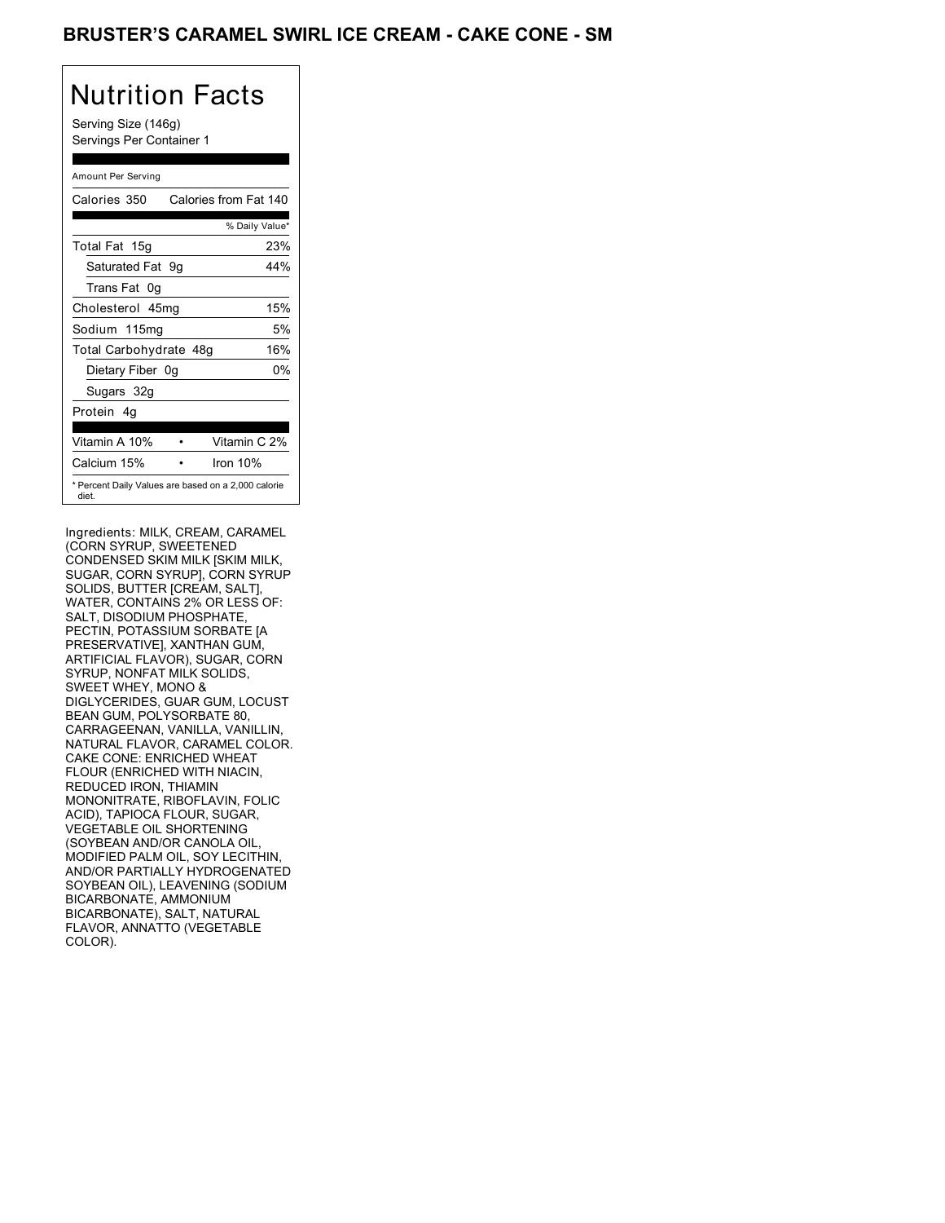### BRUSTER'S CARAMEL SWIRL ICE CREAM - CAKE CONE - SM

# Nutrition Facts

Serving Size (146g) Servings Per Container 1

| Amount Per Serving     |                                                     |
|------------------------|-----------------------------------------------------|
| Calories 350           | Calories from Fat 140                               |
|                        | % Daily Value*                                      |
| Total Fat 15g          | 23%                                                 |
| Saturated Fat 9g       | 44%                                                 |
| Trans Fat<br>0g        |                                                     |
| Cholesterol 45mg       | 15%                                                 |
| Sodium 115mg           | 5%                                                  |
| Total Carbohydrate 48g | 16%                                                 |
| Dietary Fiber 0g       | 0%                                                  |
| Sugars 32g             |                                                     |
| Protein 4g             |                                                     |
|                        |                                                     |
| Vitamin A 10%          | Vitamin C 2%                                        |
| Calcium 15%            | Iron 10%                                            |
| diet.                  | * Percent Daily Values are based on a 2,000 calorie |

Ingredients: MILK, CREAM, CARAMEL (CORN SYRUP, SWEETENED CONDENSED SKIM MILK [SKIM MILK, SUGAR, CORN SYRUP], CORN SYRUP SOLIDS, BUTTER [CREAM, SALT], WATER, CONTAINS 2% OR LESS OF: SALT, DISODIUM PHOSPHATE, PECTIN, POTASSIUM SORBATE [A PRESERVATIVE], XANTHAN GUM, ARTIFICIAL FLAVOR), SUGAR, CORN SYRUP, NONFAT MILK SOLIDS, SWEET WHEY, MONO & DIGLYCERIDES, GUAR GUM, LOCUST BEAN GUM, POLYSORBATE 80, CARRAGEENAN, VANILLA, VANILLIN, NATURAL FLAVOR, CARAMEL COLOR. CAKE CONE: ENRICHED WHEAT FLOUR (ENRICHED WITH NIACIN, REDUCED IRON, THIAMIN MONONITRATE, RIBOFLAVIN, FOLIC ACID), TAPIOCA FLOUR, SUGAR, VEGETABLE OIL SHORTENING (SOYBEAN AND/OR CANOLA OIL, MODIFIED PALM OIL, SOY LECITHIN, AND/OR PARTIALLY HYDROGENATED SOYBEAN OIL), LEAVENING (SODIUM BICARBONATE, AMMONIUM BICARBONATE), SALT, NATURAL FLAVOR, ANNATTO (VEGETABLE COLOR).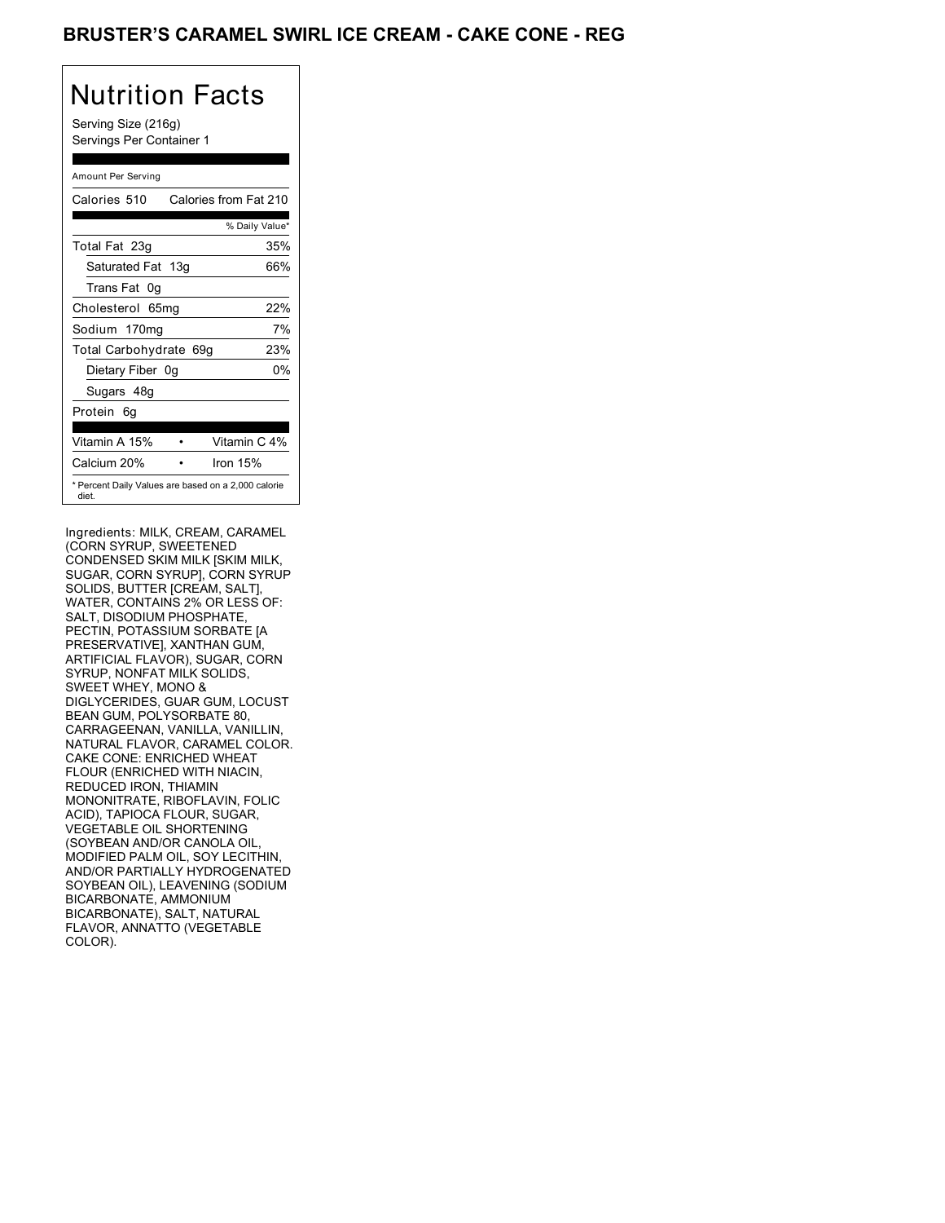## BRUSTER'S CARAMEL SWIRL ICE CREAM - CAKE CONE - REG

# Nutrition Facts

Serving Size (216g) Servings Per Container 1

| Amount Per Serving                                           |                       |
|--------------------------------------------------------------|-----------------------|
| Calories 510                                                 | Calories from Fat 210 |
|                                                              | % Daily Value*        |
| Total Fat 23g                                                | 35%                   |
| Saturated Fat 13g                                            | 66%                   |
| Trans Fat 0q                                                 |                       |
| Cholesterol 65mg                                             | 22%                   |
| Sodium 170mg                                                 | 7%                    |
| Total Carbohydrate 69g                                       | 23%                   |
| Dietary Fiber 0g                                             | 0%                    |
| Sugars 48g                                                   |                       |
| Protein<br>6q                                                |                       |
|                                                              |                       |
| Vitamin A 15%                                                | Vitamin C 4%          |
| Calcium 20%                                                  | Iron 15%              |
| * Percent Daily Values are based on a 2,000 calorie<br>diet. |                       |

Ingredients: MILK, CREAM, CARAMEL (CORN SYRUP, SWEETENED CONDENSED SKIM MILK [SKIM MILK, SUGAR, CORN SYRUP], CORN SYRUP SOLIDS, BUTTER [CREAM, SALT], WATER, CONTAINS 2% OR LESS OF: SALT, DISODIUM PHOSPHATE PECTIN, POTASSIUM SORBATE [A PRESERVATIVE], XANTHAN GUM, ARTIFICIAL FLAVOR), SUGAR, CORN SYRUP, NONFAT MILK SOLIDS, SWEET WHEY, MONO & DIGLYCERIDES, GUAR GUM, LOCUST BEAN GUM, POLYSORBATE 80, CARRAGEENAN, VANILLA, VANILLIN, NATURAL FLAVOR, CARAMEL COLOR. CAKE CONE: ENRICHED WHEAT FLOUR (ENRICHED WITH NIACIN, REDUCED IRON, THIAMIN MONONITRATE, RIBOFLAVIN, FOLIC ACID), TAPIOCA FLOUR, SUGAR, VEGETABLE OIL SHORTENING (SOYBEAN AND/OR CANOLA OIL, MODIFIED PALM OIL, SOY LECITHIN, AND/OR PARTIALLY HYDROGENATED SOYBEAN OIL), LEAVENING (SODIUM BICARBONATE, AMMONIUM BICARBONATE), SALT, NATURAL FLAVOR, ANNATTO (VEGETABLE COLOR).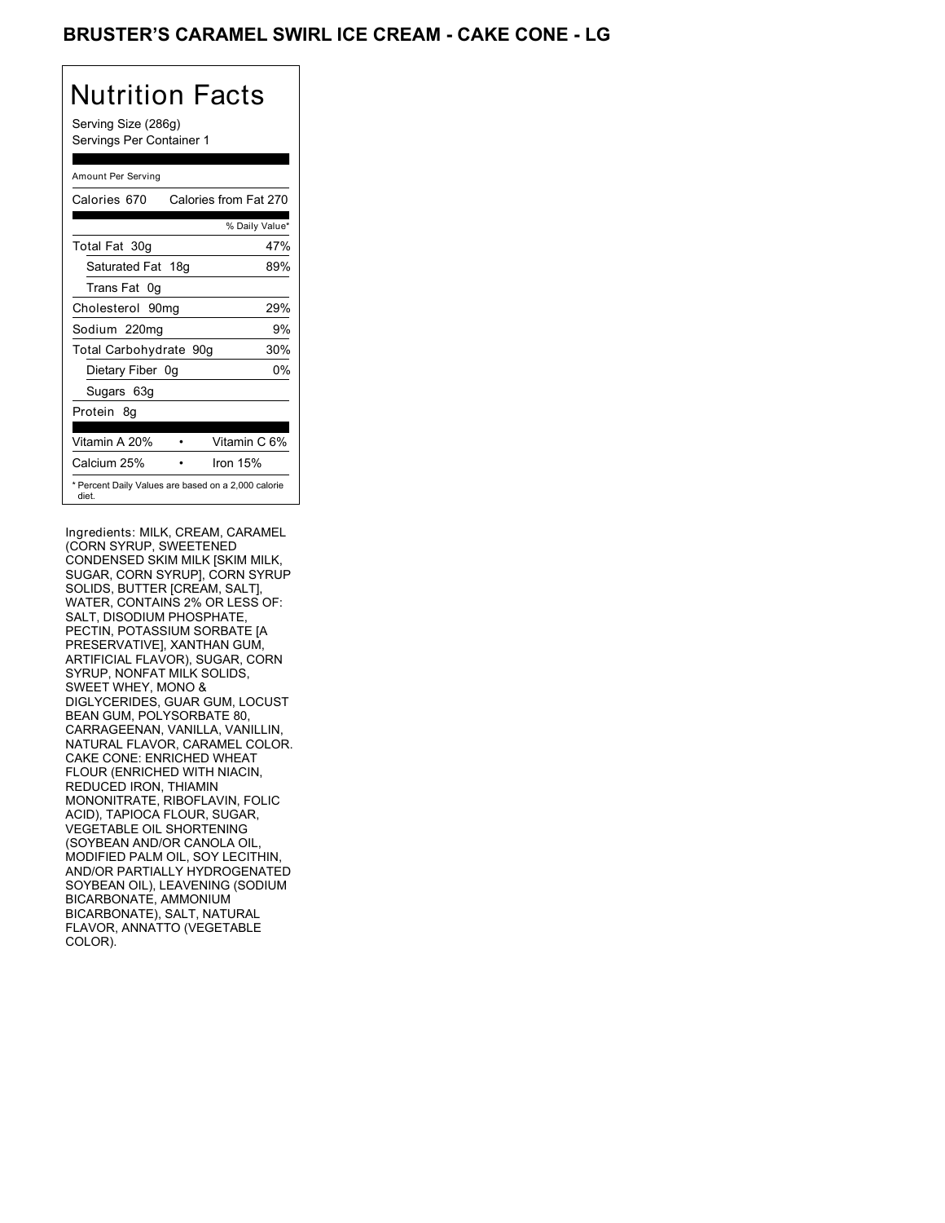## BRUSTER'S CARAMEL SWIRL ICE CREAM - CAKE CONE - LG

### Nutrition Facts Serving Size (286g) Servings Per Container 1 Amount Per Serving Calories 670 Calories from Fat 270

|                                                              | % Daily Value* |
|--------------------------------------------------------------|----------------|
| Total Fat 30g                                                | 47%            |
| Saturated Fat 18g                                            | 89%            |
| Trans Fat 0q                                                 |                |
| Cholesterol 90mg                                             | 29%            |
| Sodium 220mg                                                 | 9%             |
| Total Carbohydrate 90g                                       | 30%            |
| Dietary Fiber 0g                                             | 0%             |
| Sugars 63g                                                   |                |
| Protein 8q                                                   |                |
|                                                              |                |
| Vitamin A 20%                                                | Vitamin C 6%   |
| Calcium 25%                                                  | Iron 15%       |
| * Percent Daily Values are based on a 2,000 calorie<br>diet. |                |

Ingredients: MILK, CREAM, CARAMEL (CORN SYRUP, SWEETENED CONDENSED SKIM MILK [SKIM MILK, SUGAR, CORN SYRUP], CORN SYRUP SOLIDS, BUTTER [CREAM, SALT], WATER, CONTAINS 2% OR LESS OF: SALT, DISODIUM PHOSPHATE PECTIN, POTASSIUM SORBATE [A PRESERVATIVE], XANTHAN GUM, ARTIFICIAL FLAVOR), SUGAR, CORN SYRUP, NONFAT MILK SOLIDS, SWEET WHEY, MONO & DIGLYCERIDES, GUAR GUM, LOCUST BEAN GUM, POLYSORBATE 80, CARRAGEENAN, VANILLA, VANILLIN, NATURAL FLAVOR, CARAMEL COLOR. CAKE CONE: ENRICHED WHEAT FLOUR (ENRICHED WITH NIACIN, REDUCED IRON, THIAMIN MONONITRATE, RIBOFLAVIN, FOLIC ACID), TAPIOCA FLOUR, SUGAR, VEGETABLE OIL SHORTENING (SOYBEAN AND/OR CANOLA OIL, MODIFIED PALM OIL, SOY LECITHIN, AND/OR PARTIALLY HYDROGENATED SOYBEAN OIL), LEAVENING (SODIUM BICARBONATE, AMMONIUM BICARBONATE), SALT, NATURAL FLAVOR, ANNATTO (VEGETABLE COLOR).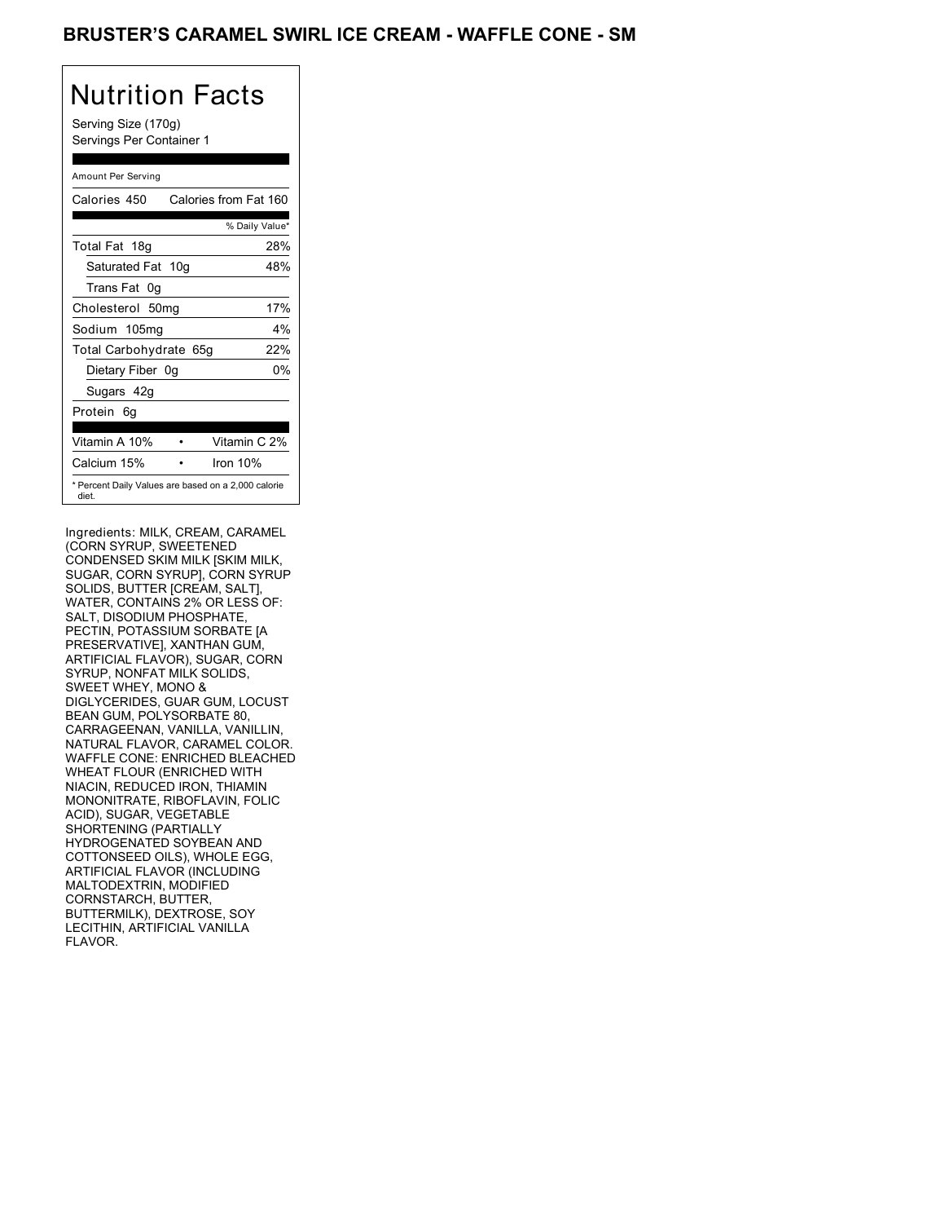### BRUSTER'S CARAMEL SWIRL ICE CREAM - WAFFLE CONE - SM

## Nutrition Facts

Serving Size (170g) Servings Per Container 1

### Amount Per Serving Calories 450 Calories from Fat 160 % Daily Value\* Total Fat 18g 28% Saturated Fat 10g 48% Trans Fat 0g Cholesterol 50mg 17% Sodium 105mg 4% Total Carbohydrate 65g 22% Dietary Fiber 0g 0% Sugars 42g Protein 6g Vitamin A 10% • Vitamin C 2% Calcium 15% • Iron 10% \* Percent Daily Values are based on a 2,000 calorie diet.

Ingredients: MILK, CREAM, CARAMEL (CORN SYRUP, SWEETENED CONDENSED SKIM MILK [SKIM MILK, SUGAR, CORN SYRUP], CORN SYRUP SOLIDS, BUTTER [CREAM, SALT], WATER, CONTAINS 2% OR LESS OF: SALT, DISODIUM PHOSPHATE PECTIN, POTASSIUM SORBATE [A PRESERVATIVE], XANTHAN GUM, ARTIFICIAL FLAVOR), SUGAR, CORN SYRUP, NONFAT MILK SOLIDS, SWEET WHEY, MONO & DIGLYCERIDES, GUAR GUM, LOCUST BEAN GUM, POLYSORBATE 80, CARRAGEENAN, VANILLA, VANILLIN, NATURAL FLAVOR, CARAMEL COLOR. WAFFLE CONE: ENRICHED BLEACHED WHEAT FLOUR (ENRICHED WITH NIACIN, REDUCED IRON, THIAMIN MONONITRATE, RIBOFLAVIN, FOLIC ACID), SUGAR, VEGETABLE SHORTENING (PARTIALLY HYDROGENATED SOYBEAN AND COTTONSEED OILS), WHOLE EGG, ARTIFICIAL FLAVOR (INCLUDING MALTODEXTRIN, MODIFIED CORNSTARCH, BUTTER, BUTTERMILK), DEXTROSE, SOY LECITHIN, ARTIFICIAL VANILLA FLAVOR.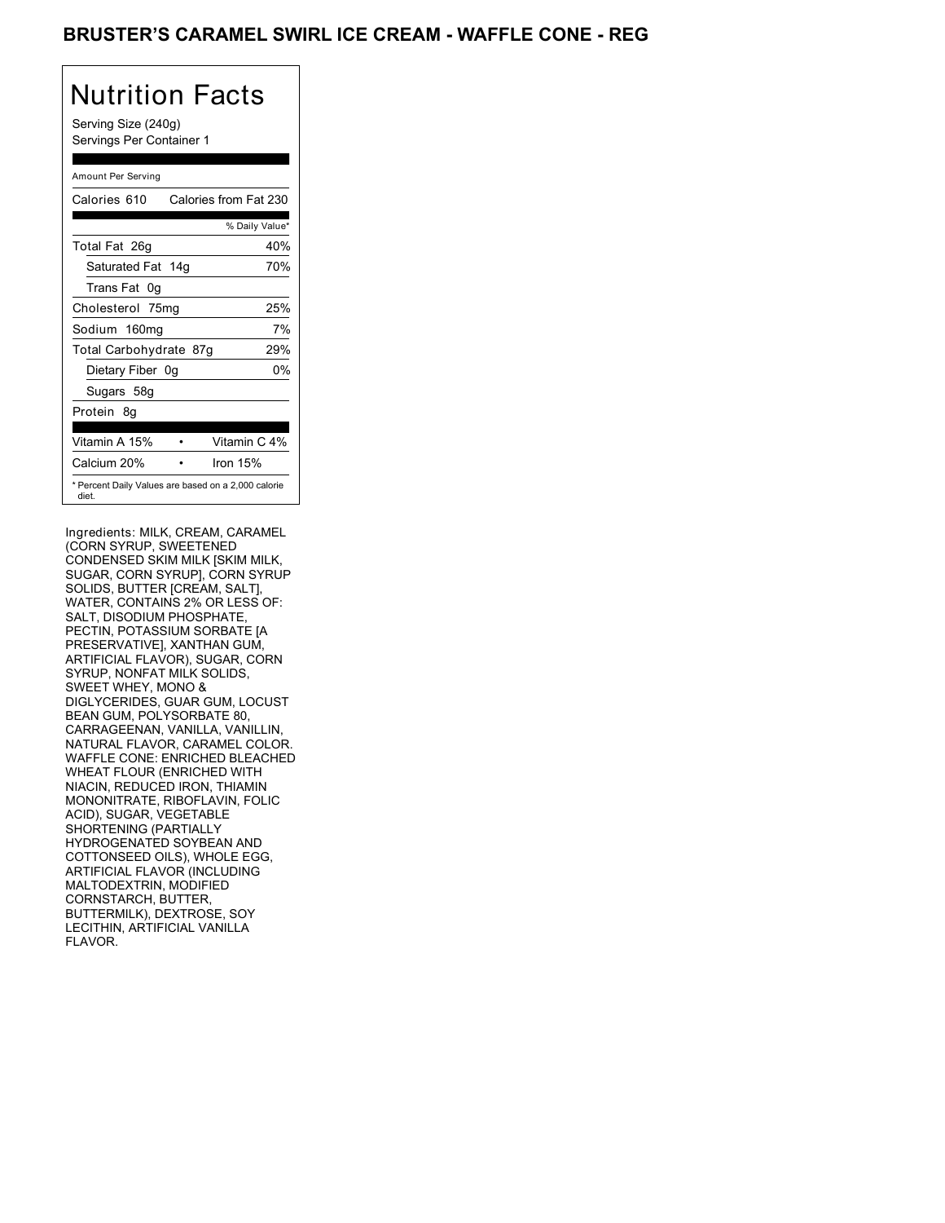### BRUSTER'S CARAMEL SWIRL ICE CREAM - WAFFLE CONE - REG

# Nutrition Facts

Serving Size (240g) Servings Per Container 1

### Amount Per Serving

| Calories 610           | Calories from Fat 230                               |
|------------------------|-----------------------------------------------------|
|                        | % Daily Value*                                      |
| Total Fat 26g          | 40%                                                 |
| Saturated Fat 14g      | 70%                                                 |
| Trans Fat 0q           |                                                     |
| Cholesterol 75mg       | 25%                                                 |
| Sodium 160mg           | 7%                                                  |
| Total Carbohydrate 87g | 29%                                                 |
| Dietary Fiber 0g       | 0%                                                  |
| Sugars 58g             |                                                     |
| Protein 8q             |                                                     |
|                        |                                                     |
| Vitamin A 15%          | Vitamin C 4%                                        |
| Calcium 20%            | Iron 15%                                            |
| diet.                  | * Percent Daily Values are based on a 2,000 calorie |

Ingredients: MILK, CREAM, CARAMEL (CORN SYRUP, SWEETENED CONDENSED SKIM MILK [SKIM MILK, SUGAR, CORN SYRUP], CORN SYRUP SOLIDS, BUTTER [CREAM, SALT], WATER, CONTAINS 2% OR LESS OF: SALT, DISODIUM PHOSPHATE, PECTIN, POTASSIUM SORBATE [A PRESERVATIVE], XANTHAN GUM, ARTIFICIAL FLAVOR), SUGAR, CORN SYRUP, NONFAT MILK SOLIDS, SWEET WHEY, MONO & DIGLYCERIDES, GUAR GUM, LOCUST BEAN GUM, POLYSORBATE 80, CARRAGEENAN, VANILLA, VANILLIN, NATURAL FLAVOR, CARAMEL COLOR. WAFFLE CONE: ENRICHED BLEACHED WHEAT FLOUR (ENRICHED WITH NIACIN, REDUCED IRON, THIAMIN MONONITRATE, RIBOFLAVIN, FOLIC ACID), SUGAR, VEGETABLE SHORTENING (PARTIALLY HYDROGENATED SOYBEAN AND COTTONSEED OILS), WHOLE EGG, ARTIFICIAL FLAVOR (INCLUDING MALTODEXTRIN, MODIFIED CORNSTARCH, BUTTER, BUTTERMILK), DEXTROSE, SOY LECITHIN, ARTIFICIAL VANILLA FLAVOR.